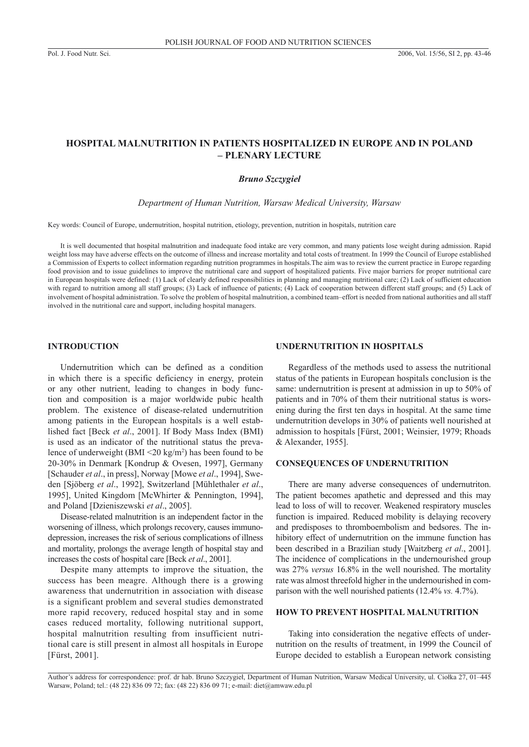# **Hospital malnutrition in patients hospitalized in Europe and in Poland – plenary lecture**

# *Bruno Szczygieł*

*Department of Human Nutrition, Warsaw Medical University, Warsaw*

Key words: Council of Europe, undernutrition, hospital nutrition, etiology, prevention, nutrition in hospitals, nutrition care

It is well documented that hospital malnutrition and inadequate food intake are very common, and many patients lose weight during admission. Rapid weight loss may have adverse effects on the outcome of illness and increase mortality and total costs of treatment. In 1999 the Council of Europe established a Commission of Experts to collect information regarding nutrition programmes in hospitals.The aim was to review the current practice in Europe regarding food provision and to issue guidelines to improve the nutritional care and support of hospitalized patients. Five major barriers for proper nutritional care in European hospitals were defined: (1) Lack of clearly defined responsibilities in planning and managing nutritional care; (2) Lack of sufficient education with regard to nutrition among all staff groups; (3) Lack of influence of patients; (4) Lack of cooperation between different staff groups; and (5) Lack of involvement of hospital administration. To solve the problem of hospital malnutrition, a combined team–effort is needed from national authorities and all staff involved in the nutritional care and support, including hospital managers.

# **Introduction**

Undernutrition which can be defined as a condition in which there is a specific deficiency in energy, protein or any other nutrient, leading to changes in body function and composition is a major worldwide pubic health problem. The existence of disease-related undernutrition among patients in the European hospitals is a well established fact [Beck *et al*., 2001]. If Body Mass Index (BMI) is used as an indicator of the nutritional status the prevalence of underweight (BMI <20 kg/m<sup>2</sup> ) has been found to be 20-30% in Denmark [Kondrup & Ovesen, 1997], Germany [Schauder *et al*., in press], Norway [Mowe *et al*., 1994], Sweden [Sjöberg *et al*., 1992], Switzerland [Mühlethaler *et al*., 1995], United Kingdom [McWhirter & Pennington, 1994], and Poland [Dzieniszewski *et al*., 2005].

Disease-related malnutrition is an independent factor in the worsening of illness, which prolongs recovery, causes immunodepression, increases the risk of serious complications of illness and mortality, prolongs the average length of hospital stay and increases the costs of hospital care [Beck *et al*., 2001].

Despite many attempts to improve the situation, the success has been meagre. Although there is a growing awareness that undernutrition in association with disease is a significant problem and several studies demonstrated more rapid recovery, reduced hospital stay and in some cases reduced mortality, following nutritional support, hospital malnutrition resulting from insufficient nutritional care is still present in almost all hospitals in Europe [Fürst, 2001].

# **Undernutrition in hospitals**

Regardless of the methods used to assess the nutritional status of the patients in European hospitals conclusion is the same: undernutrition is present at admission in up to 50% of patients and in 70% of them their nutritional status is worsening during the first ten days in hospital. At the same time undernutrition develops in 30% of patients well nourished at admission to hospitals [Fürst, 2001; Weinsier, 1979; Rhoads & Alexander, 1955].

# **Consequences of undernutrition**

There are many adverse consequences of undernutriton. The patient becomes apathetic and depressed and this may lead to loss of will to recover. Weakened respiratory muscles function is impaired. Reduced mobility is delaying recovery and predisposes to thromboembolism and bedsores. The inhibitory effect of undernutrition on the immune function has been described in a Brazilian study [Waitzberg *et al*., 2001]. The incidence of complications in the undernourished group was 27% *versus* 16.8% in the well nourished. The mortality rate was almost threefold higher in the undernourished in comparison with the well nourished patients (12.4% *vs.* 4.7%).

### **How to prevent hospital malnutrition**

Taking into consideration the negative effects of undernutrition on the results of treatment, in 1999 the Council of Europe decided to establish a European network consisting

Author's address for correspondence: prof. dr hab. Bruno Szczygieł, Department of Human Nutrition, Warsaw Medical University, ul. Ciołka 27, 01–445 Warsaw, Poland; tel.: (48 22) 836 09 72; fax: (48 22) 836 09 71; e-mail: diet@amwaw.edu.pl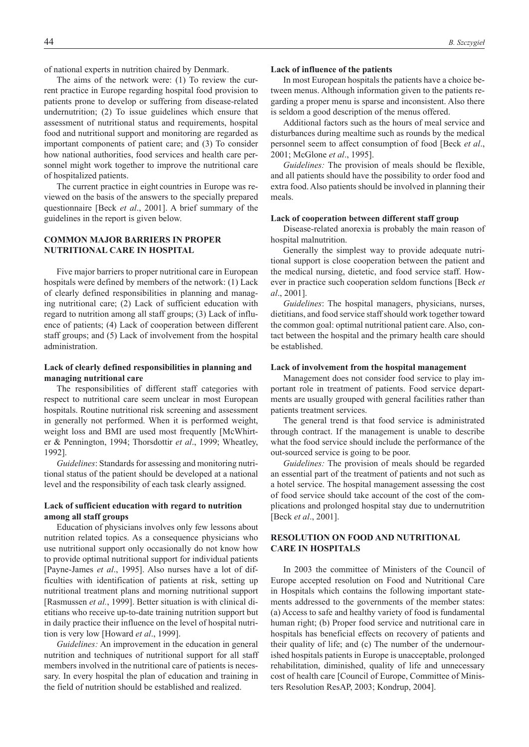of national experts in nutrition chaired by Denmark.

The aims of the network were: (1) To review the current practice in Europe regarding hospital food provision to patients prone to develop or suffering from disease-related undernutrition; (2) To issue guidelines which ensure that assessment of nutritional status and requirements, hospital food and nutritional support and monitoring are regarded as important components of patient care; and (3) To consider how national authorities, food services and health care personnel might work together to improve the nutritional care of hospitalized patients.

The current practice in eight countries in Europe was reviewed on the basis of the answers to the specially prepared questionnaire [Beck *et al*., 2001]. A brief summary of the guidelines in the report is given below.

# **Common major barriers in proper nutritional care in hospital**

Five major barriers to proper nutritional care in European hospitals were defined by members of the network: (1) Lack of clearly defined responsibilities in planning and managing nutritional care; (2) Lack of sufficient education with regard to nutrition among all staff groups; (3) Lack of influence of patients; (4) Lack of cooperation between different staff groups; and (5) Lack of involvement from the hospital administration.

# **Lack of clearly defined responsibilities in planning and managing nutritional care**

The responsibilities of different staff categories with respect to nutritional care seem unclear in most European hospitals. Routine nutritional risk screening and assessment in generally not performed. When it is performed weight, weight loss and BMI are used most frequently [McWhirter & Pennington, 1994; Thorsdottir *et al*., 1999; Wheatley, 1992].

*Guidelines*: Standards for assessing and monitoring nutritional status of the patient should be developed at a national level and the responsibility of each task clearly assigned.

### **Lack of sufficient education with regard to nutrition among all staff groups**

Education of physicians involves only few lessons about nutrition related topics. As a consequence physicians who use nutritional support only occasionally do not know how to provide optimal nutritional support for individual patients [Payne-James *et al*., 1995]. Also nurses have a lot of difficulties with identification of patients at risk, setting up nutritional treatment plans and morning nutritional support [Rasmussen *et al.*, 1999]. Better situation is with clinical dietitians who receive up-to-date training nutrition support but in daily practice their influence on the level of hospital nutrition is very low [Howard *et al*., 1999].

*Guidelines:* An improvement in the education in general nutrition and techniques of nutritional support for all staff members involved in the nutritional care of patients is necessary. In every hospital the plan of education and training in the field of nutrition should be established and realized.

### **Lack of influence of the patients**

In most European hospitals the patients have a choice between menus. Although information given to the patients regarding a proper menu is sparse and inconsistent. Also there is seldom a good description of the menus offered.

Additional factors such as the hours of meal service and disturbances during mealtime such as rounds by the medical personnel seem to affect consumption of food [Beck *et al*., 2001; McGlone *et al*., 1995].

*Guidelines:* The provision of meals should be flexible, and all patients should have the possibility to order food and extra food. Also patients should be involved in planning their meals.

#### **Lack of cooperation between different staff group**

Disease-related anorexia is probably the main reason of hospital malnutrition.

Generally the simplest way to provide adequate nutritional support is close cooperation between the patient and the medical nursing, dietetic, and food service staff. However in practice such cooperation seldom functions [Beck *et al*., 2001].

*Guidelines*: The hospital managers, physicians, nurses, dietitians, and food service staff should work together toward the common goal: optimal nutritional patient care. Also, contact between the hospital and the primary health care should be established.

#### **Lack of involvement from the hospital management**

Management does not consider food service to play important role in treatment of patients. Food service departments are usually grouped with general facilities rather than patients treatment services.

The general trend is that food service is administrated through contract. If the management is unable to describe what the food service should include the performance of the out-sourced service is going to be poor.

*Guidelines:* The provision of meals should be regarded an essential part of the treatment of patients and not such as a hotel service. The hospital management assessing the cost of food service should take account of the cost of the complications and prolonged hospital stay due to undernutrition [Beck *et al*., 2001].

# **RESOLUTION ON FOOD AND NUTRITIONAL CARE IN HOSPITALS**

In 2003 the committee of Ministers of the Council of Europe accepted resolution on Food and Nutritional Care in Hospitals which contains the following important statements addressed to the governments of the member states: (a) Access to safe and healthy variety of food is fundamental human right; (b) Proper food service and nutritional care in hospitals has beneficial effects on recovery of patients and their quality of life; and (c) The number of the undernourished hospitals patients in Europe is unacceptable, prolonged rehabilitation, diminished, quality of life and unnecessary cost of health care [Council of Europe, Committee of Ministers Resolution ResAP, 2003; Kondrup, 2004].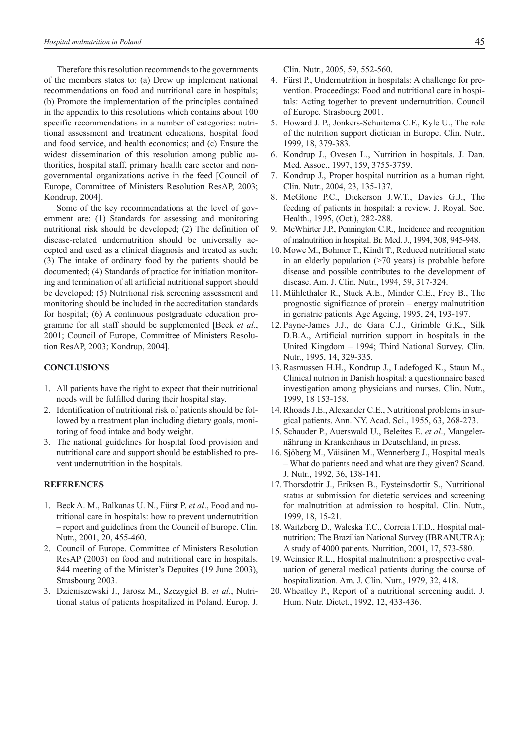Therefore this resolution recommends to the governments of the members states to: (a) Drew up implement national recommendations on food and nutritional care in hospitals; (b) Promote the implementation of the principles contained in the appendix to this resolutions which contains about 100 specific recommendations in a number of categories: nutritional assessment and treatment educations, hospital food and food service, and health economics; and (c) Ensure the widest dissemination of this resolution among public authorities, hospital staff, primary health care sector and nongovernmental organizations active in the feed [Council of Europe, Committee of Ministers Resolution ResAP, 2003; Kondrup, 2004].

Some of the key recommendations at the level of government are: (1) Standards for assessing and monitoring nutritional risk should be developed; (2) The definition of disease-related undernutrition should be universally accepted and used as a clinical diagnosis and treated as such; (3) The intake of ordinary food by the patients should be documented; (4) Standards of practice for initiation monitoring and termination of all artificial nutritional support should be developed; (5) Nutritional risk screening assessment and monitoring should be included in the accreditation standards for hospital; (6) A continuous postgraduate education programme for all staff should be supplemented [Beck *et al*., 2001; Council of Europe, Committee of Ministers Resolution ResAP, 2003; Kondrup, 2004].

#### **Conclusions**

- 1. All patients have the right to expect that their nutritional needs will be fulfilled during their hospital stay.
- 2. Identification of nutritional risk of patients should be followed by a treatment plan including dietary goals, monitoring of food intake and body weight.
- 3. The national guidelines for hospital food provision and nutritional care and support should be established to prevent undernutrition in the hospitals.

### **References**

- 1. Beck A. M., Balkanas U. N., Fürst P. *et al*., Food and nutritional care in hospitals: how to prevent undernutrition – report and guidelines from the Council of Europe. Clin. Nutr., 2001, 20, 455-460.
- 2. Council of Europe. Committee of Ministers Resolution ResAP (2003) on food and nutritional care in hospitals. 844 meeting of the Minister's Depuites (19 June 2003), Strasbourg 2003.
- 3. Dzieniszewski J., Jarosz M., Szczygieł B. *et al*., Nutritional status of patients hospitalized in Poland. Europ. J.

Clin. Nutr., 2005, 59, 552-560.

- 4. Fürst P., Undernutrition in hospitals: A challenge for prevention. Proceedings: Food and nutritional care in hospitals: Acting together to prevent undernutrition. Council of Europe. Strasbourg 2001.
- 5. Howard J. P., Jonkers-Schuitema C.F., Kyle U., The role of the nutrition support dietician in Europe. Clin. Nutr., 1999, 18, 379-383.
- 6. Kondrup J., Ovesen L., Nutrition in hospitals. J. Dan. Med. Assoc., 1997, 159, 3755-3759.
- 7. Kondrup J., Proper hospital nutrition as a human right. Clin. Nutr., 2004, 23, 135-137.
- 8. McGlone P.C., Dickerson J.W.T., Davies G.J., The feeding of patients in hospital: a review. J. Royal. Soc. Health., 1995, (Oct.), 282-288.
- 9. McWhirter J.P., Pennington C.R., Incidence and recognition of malnutrition in hospital. Br. Med. J., 1994, 308, 945-948.
- 10. Mowe M., Bohmer T., Kindt T., Reduced nutritional state in an elderly population  $(>=70$  years) is probable before disease and possible contributes to the development of disease. Am. J. Clin. Nutr., 1994, 59, 317-324.
- 11. Mühlethaler R., Stuck A.E., Minder C.E., Frey B., The prognostic significance of protein – energy malnutrition in geriatric patients. Age Ageing, 1995, 24, 193-197.
- 12. Payne-James J.J., de Gara C.J., Grimble G.K., Silk D.B.A., Artificial nutrition support in hospitals in the United Kingdom – 1994; Third National Survey. Clin. Nutr., 1995, 14, 329-335.
- 13. Rasmussen H.H., Kondrup J., Ladefoged K., Staun M., Clinical nutrion in Danish hospital: a questionnaire based investigation among physicians and nurses. Clin. Nutr., 1999, 18 153-158.
- 14. Rhoads J.E., Alexander C.E., Nutritional problems in surgical patients. Ann. NY. Acad. Sci., 1955, 63, 268-273.
- 15. Schauder P., Auerswald U., Beleites E. *et al*., Mangelernährung in Krankenhaus in Deutschland, in press.
- 16. Sjöberg M., Väisänen M., Wennerberg J., Hospital meals – What do patients need and what are they given? Scand. J. Nutr., 1992, 36, 138-141.
- 17. Thorsdottir J., Eriksen B., Eysteinsdottir S., Nutritional status at submission for dietetic services and screening for malnutrition at admission to hospital. Clin. Nutr., 1999, 18, 15-21.
- 18. Waitzberg D., Waleska T.C., Correia I.T.D., Hospital malnutrition: The Brazilian National Survey (IBRANUTRA): A study of 4000 patients. Nutrition, 2001, 17, 573-580.
- 19. Weinsier R.L., Hospital malnutrition: a prospective evaluation of general medical patients during the course of hospitalization. Am. J. Clin. Nutr., 1979, 32, 418.
- 20. Wheatley P., Report of a nutritional screening audit. J. Hum. Nutr. Dietet., 1992, 12, 433-436.